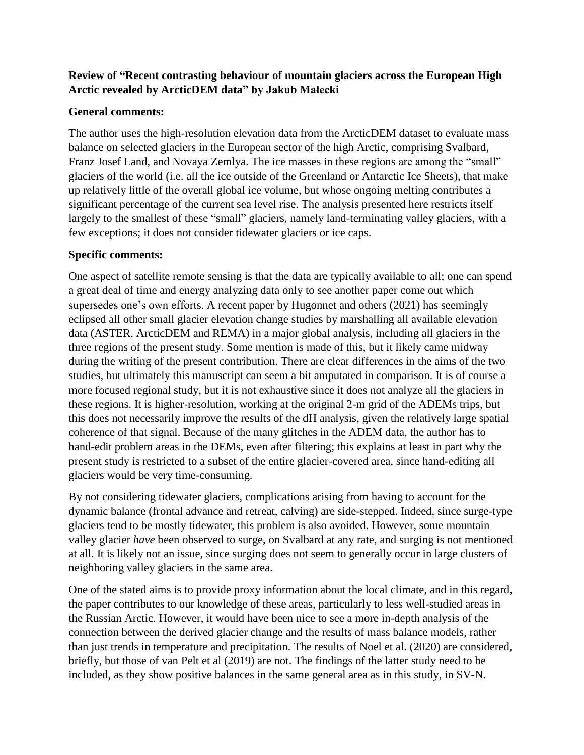## **Review of "Recent contrasting behaviour of mountain glaciers across the European High Arctic revealed by ArcticDEM data" by Jakub Małecki**

## **General comments:**

The author uses the high-resolution elevation data from the ArcticDEM dataset to evaluate mass balance on selected glaciers in the European sector of the high Arctic, comprising Svalbard, Franz Josef Land, and Novaya Zemlya. The ice masses in these regions are among the "small" glaciers of the world (i.e. all the ice outside of the Greenland or Antarctic Ice Sheets), that make up relatively little of the overall global ice volume, but whose ongoing melting contributes a significant percentage of the current sea level rise. The analysis presented here restricts itself largely to the smallest of these "small" glaciers, namely land-terminating valley glaciers, with a few exceptions; it does not consider tidewater glaciers or ice caps.

## **Specific comments:**

One aspect of satellite remote sensing is that the data are typically available to all; one can spend a great deal of time and energy analyzing data only to see another paper come out which supersedes one's own efforts. A recent paper by Hugonnet and others (2021) has seemingly eclipsed all other small glacier elevation change studies by marshalling all available elevation data (ASTER, ArcticDEM and REMA) in a major global analysis, including all glaciers in the three regions of the present study. Some mention is made of this, but it likely came midway during the writing of the present contribution. There are clear differences in the aims of the two studies, but ultimately this manuscript can seem a bit amputated in comparison. It is of course a more focused regional study, but it is not exhaustive since it does not analyze all the glaciers in these regions. It is higher-resolution, working at the original 2-m grid of the ADEMs trips, but this does not necessarily improve the results of the dH analysis, given the relatively large spatial coherence of that signal. Because of the many glitches in the ADEM data, the author has to hand-edit problem areas in the DEMs, even after filtering; this explains at least in part why the present study is restricted to a subset of the entire glacier-covered area, since hand-editing all glaciers would be very time-consuming.

By not considering tidewater glaciers, complications arising from having to account for the dynamic balance (frontal advance and retreat, calving) are side-stepped. Indeed, since surge-type glaciers tend to be mostly tidewater, this problem is also avoided. However, some mountain valley glacier *have* been observed to surge, on Svalbard at any rate, and surging is not mentioned at all. It is likely not an issue, since surging does not seem to generally occur in large clusters of neighboring valley glaciers in the same area.

One of the stated aims is to provide proxy information about the local climate, and in this regard, the paper contributes to our knowledge of these areas, particularly to less well-studied areas in the Russian Arctic. However, it would have been nice to see a more in-depth analysis of the connection between the derived glacier change and the results of mass balance models, rather than just trends in temperature and precipitation. The results of Noel et al. (2020) are considered, briefly, but those of van Pelt et al (2019) are not. The findings of the latter study need to be included, as they show positive balances in the same general area as in this study, in SV-N.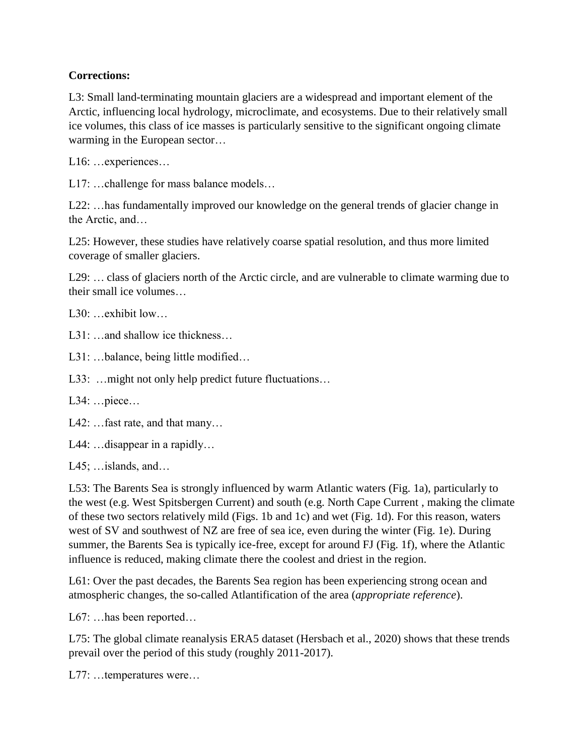## **Corrections:**

L3: Small land-terminating mountain glaciers are a widespread and important element of the Arctic, influencing local hydrology, microclimate, and ecosystems. Due to their relatively small ice volumes, this class of ice masses is particularly sensitive to the significant ongoing climate warming in the European sector…

L16: …experiences…

L17: …challenge for mass balance models…

L22: …has fundamentally improved our knowledge on the general trends of glacier change in the Arctic, and…

L25: However, these studies have relatively coarse spatial resolution, and thus more limited coverage of smaller glaciers.

L29: … class of glaciers north of the Arctic circle, and are vulnerable to climate warming due to their small ice volumes…

L30: …exhibit low…

L31: …and shallow ice thickness…

L31: …balance, being little modified…

L33: …might not only help predict future fluctuations…

L34: …piece…

L42: …fast rate, and that many…

L44: …disappear in a rapidly…

L45; …islands, and…

L53: The Barents Sea is strongly influenced by warm Atlantic waters (Fig. 1a), particularly to the west (e.g. West Spitsbergen Current) and south (e.g. North Cape Current , making the climate of these two sectors relatively mild (Figs. 1b and 1c) and wet (Fig. 1d). For this reason, waters west of SV and southwest of NZ are free of sea ice, even during the winter (Fig. 1e). During summer, the Barents Sea is typically ice-free, except for around FJ (Fig. 1f), where the Atlantic influence is reduced, making climate there the coolest and driest in the region.

L61: Over the past decades, the Barents Sea region has been experiencing strong ocean and atmospheric changes, the so-called Atlantification of the area (*appropriate reference*).

L67: …has been reported…

L75: The global climate reanalysis ERA5 dataset (Hersbach et al., 2020) shows that these trends prevail over the period of this study (roughly 2011-2017).

L77: ...temperatures were...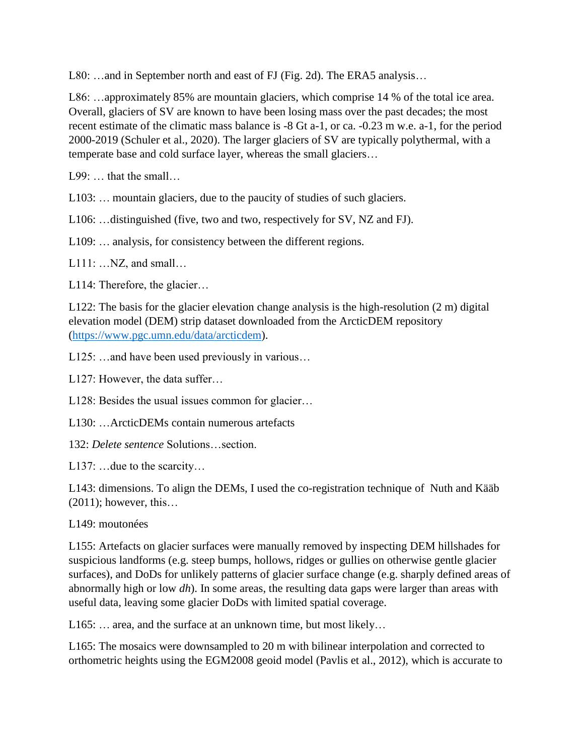L80: …and in September north and east of FJ (Fig. 2d). The ERA5 analysis…

L86: …approximately 85% are mountain glaciers, which comprise 14 % of the total ice area. Overall, glaciers of SV are known to have been losing mass over the past decades; the most recent estimate of the climatic mass balance is -8 Gt a-1, or ca. -0.23 m w.e. a-1, for the period 2000-2019 (Schuler et al., 2020). The larger glaciers of SV are typically polythermal, with a temperate base and cold surface layer, whereas the small glaciers…

L99: … that the small…

L103: … mountain glaciers, due to the paucity of studies of such glaciers.

L106: …distinguished (five, two and two, respectively for SV, NZ and FJ).

L109: … analysis, for consistency between the different regions.

L111: …NZ, and small…

L114: Therefore, the glacier…

L122: The basis for the glacier elevation change analysis is the high-resolution (2 m) digital elevation model (DEM) strip dataset downloaded from the ArcticDEM repository [\(https://www.pgc.umn.edu/data/arcticdem\)](https://www.pgc.umn.edu/data/arcticdem).

L125: …and have been used previously in various…

L127: However, the data suffer...

L128: Besides the usual issues common for glacier…

L130: …ArcticDEMs contain numerous artefacts

132: *Delete sentence* Solutions…section.

L137: …due to the scarcity…

L143: dimensions. To align the DEMs, I used the co-registration technique of Nuth and Kääb  $(2011)$ ; however, this...

L149: moutonées

L155: Artefacts on glacier surfaces were manually removed by inspecting DEM hillshades for suspicious landforms (e.g. steep bumps, hollows, ridges or gullies on otherwise gentle glacier surfaces), and DoDs for unlikely patterns of glacier surface change (e.g. sharply defined areas of abnormally high or low *dh*). In some areas, the resulting data gaps were larger than areas with useful data, leaving some glacier DoDs with limited spatial coverage.

L165: ... area, and the surface at an unknown time, but most likely...

L165: The mosaics were downsampled to 20 m with bilinear interpolation and corrected to orthometric heights using the EGM2008 geoid model (Pavlis et al., 2012), which is accurate to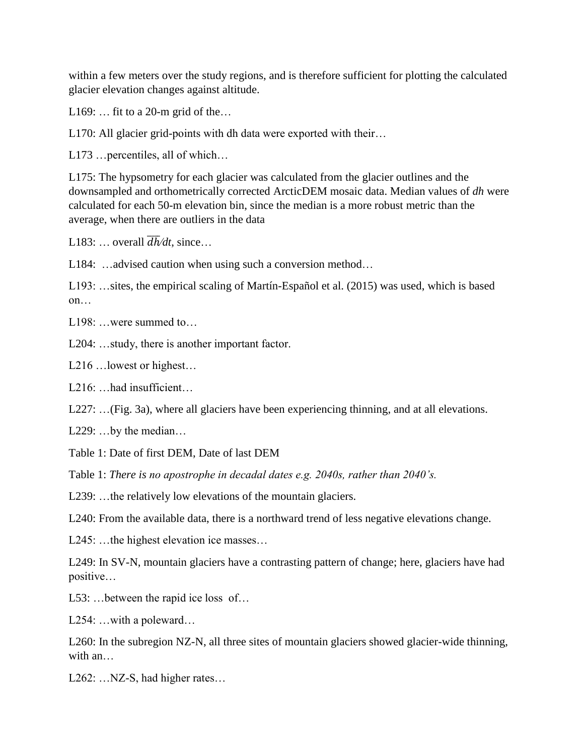within a few meters over the study regions, and is therefore sufficient for plotting the calculated glacier elevation changes against altitude.

L169:  $\dots$  fit to a 20-m grid of the $\dots$ 

L170: All glacier grid-points with dh data were exported with their...

L173 …percentiles, all of which…

L175: The hypsometry for each glacier was calculated from the glacier outlines and the downsampled and orthometrically corrected ArcticDEM mosaic data. Median values of *dh* were calculated for each 50-m elevation bin, since the median is a more robust metric than the average, when there are outliers in the data

L183: ... overall  $\overline{dh}/dt$ , since...

L184: …advised caution when using such a conversion method…

L193: …sites, the empirical scaling of Martín-Español et al. (2015) was used, which is based on…

L<sub>198</sub>: ...were summed to...

L204: …study, there is another important factor.

L216 …lowest or highest…

L<sub>216</sub>: …had insufficient…

L227: …(Fig. 3a), where all glaciers have been experiencing thinning, and at all elevations.

L229: ...by the median...

Table 1: Date of first DEM, Date of last DEM

Table 1: *There is no apostrophe in decadal dates e.g. 2040s, rather than 2040's.*

L239: ...the relatively low elevations of the mountain glaciers.

L240: From the available data, there is a northward trend of less negative elevations change.

L245: …the highest elevation ice masses…

L249: In SV-N, mountain glaciers have a contrasting pattern of change; here, glaciers have had positive…

L53: …between the rapid ice loss of…

L254: …with a poleward…

L260: In the subregion NZ-N, all three sites of mountain glaciers showed glacier-wide thinning, with an…

L262: …NZ-S, had higher rates…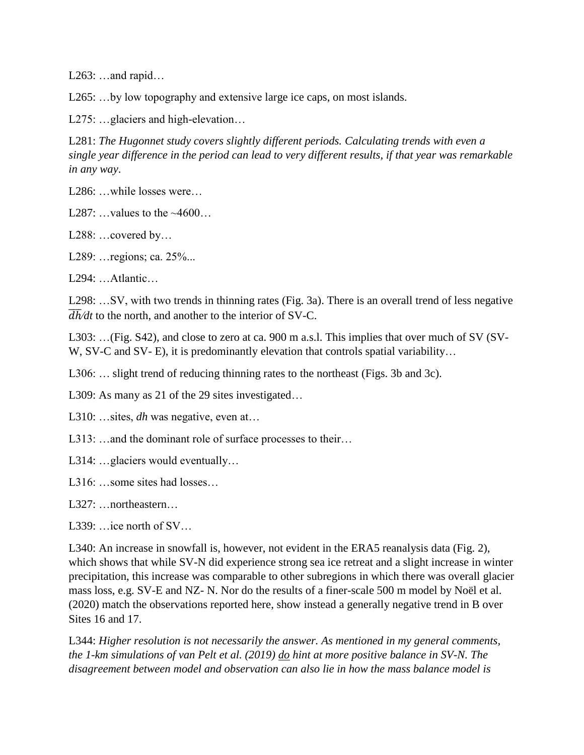L263: …and rapid…

L265: ...by low topography and extensive large ice caps, on most islands.

L275: …glaciers and high-elevation…

L281: *The Hugonnet study covers slightly different periods. Calculating trends with even a single year difference in the period can lead to very different results, if that year was remarkable in any way*.

L<sub>286</sub>: ...while losses were...

L287:  $\dots$  values to the  $~4600...$ 

L288: …covered by…

L289: …regions; ca. 25%...

L294: …Atlantic…

L298: …SV, with two trends in thinning rates (Fig. 3a). There is an overall trend of less negative  $\overline{dh}/dt$  to the north, and another to the interior of SV-C.

L303: …(Fig. S42), and close to zero at ca. 900 m a.s.l. This implies that over much of SV (SV-W, SV-C and SV- E), it is predominantly elevation that controls spatial variability...

L306: … slight trend of reducing thinning rates to the northeast (Figs. 3b and 3c).

L309: As many as 21 of the 29 sites investigated...

L310: …sites, *dh* was negative, even at…

L313: …and the dominant role of surface processes to their…

L314: …glaciers would eventually…

L316: …some sites had losses…

L327: …northeastern…

L339: …ice north of SV...

L340: An increase in snowfall is, however, not evident in the ERA5 reanalysis data (Fig. 2), which shows that while SV-N did experience strong sea ice retreat and a slight increase in winter precipitation, this increase was comparable to other subregions in which there was overall glacier mass loss, e.g. SV-E and NZ- N. Nor do the results of a finer-scale 500 m model by Noël et al. (2020) match the observations reported here, show instead a generally negative trend in B over Sites 16 and 17.

L344: *Higher resolution is not necessarily the answer. As mentioned in my general comments, the 1-km simulations of van Pelt et al. (2019) do hint at more positive balance in SV-N. The disagreement between model and observation can also lie in how the mass balance model is*